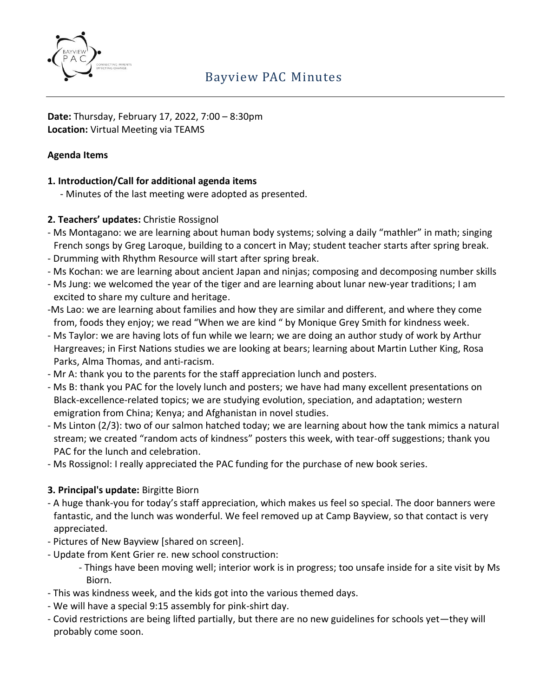

**Date:** Thursday, February 17, 2022, 7:00 – 8:30pm **Location:** Virtual Meeting via TEAMS

## **Agenda Items**

## **1. Introduction/Call for additional agenda items**

- Minutes of the last meeting were adopted as presented.

## **2. Teachers' updates:** Christie Rossignol

- Ms Montagano: we are learning about human body systems; solving a daily "mathler" in math; singing French songs by Greg Laroque, building to a concert in May; student teacher starts after spring break.
- Drumming with Rhythm Resource will start after spring break.
- Ms Kochan: we are learning about ancient Japan and ninjas; composing and decomposing number skills
- Ms Jung: we welcomed the year of the tiger and are learning about lunar new-year traditions; I am excited to share my culture and heritage.
- -Ms Lao: we are learning about families and how they are similar and different, and where they come from, foods they enjoy; we read "When we are kind " by Monique Grey Smith for kindness week.
- Ms Taylor: we are having lots of fun while we learn; we are doing an author study of work by Arthur Hargreaves; in First Nations studies we are looking at bears; learning about Martin Luther King, Rosa Parks, Alma Thomas, and anti-racism.
- Mr A: thank you to the parents for the staff appreciation lunch and posters.
- Ms B: thank you PAC for the lovely lunch and posters; we have had many excellent presentations on Black-excellence-related topics; we are studying evolution, speciation, and adaptation; western emigration from China; Kenya; and Afghanistan in novel studies.
- Ms Linton (2/3): two of our salmon hatched today; we are learning about how the tank mimics a natural stream; we created "random acts of kindness" posters this week, with tear-off suggestions; thank you PAC for the lunch and celebration.
- Ms Rossignol: I really appreciated the PAC funding for the purchase of new book series.

## **3. Principal's update:** Birgitte Biorn

- A huge thank-you for today's staff appreciation, which makes us feel so special. The door banners were fantastic, and the lunch was wonderful. We feel removed up at Camp Bayview, so that contact is very appreciated.
- Pictures of New Bayview [shared on screen].
- Update from Kent Grier re. new school construction:
	- Things have been moving well; interior work is in progress; too unsafe inside for a site visit by Ms Biorn.
- This was kindness week, and the kids got into the various themed days.
- We will have a special 9:15 assembly for pink-shirt day.
- Covid restrictions are being lifted partially, but there are no new guidelines for schools yet—they will probably come soon.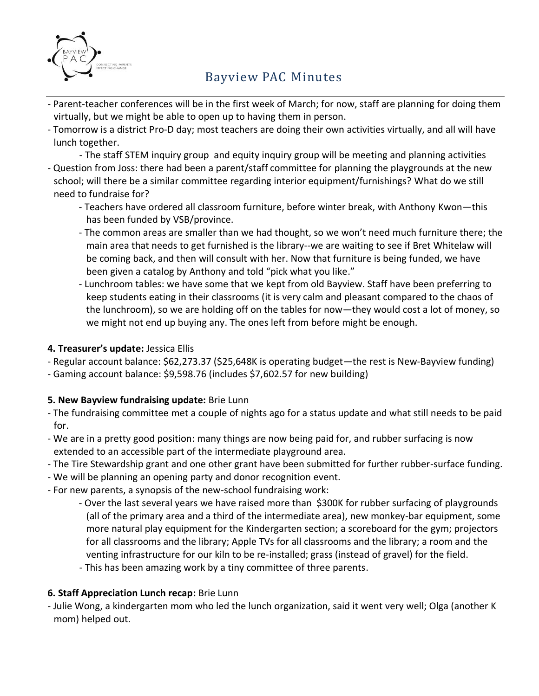

# Bayview PAC Minutes

- Parent-teacher conferences will be in the first week of March; for now, staff are planning for doing them virtually, but we might be able to open up to having them in person.
- Tomorrow is a district Pro-D day; most teachers are doing their own activities virtually, and all will have lunch together.

- The staff STEM inquiry group and equity inquiry group will be meeting and planning activities - Question from Joss: there had been a parent/staff committee for planning the playgrounds at the new school; will there be a similar committee regarding interior equipment/furnishings? What do we still need to fundraise for?

- Teachers have ordered all classroom furniture, before winter break, with Anthony Kwon—this has been funded by VSB/province.
- The common areas are smaller than we had thought, so we won't need much furniture there; the main area that needs to get furnished is the library--we are waiting to see if Bret Whitelaw will be coming back, and then will consult with her. Now that furniture is being funded, we have been given a catalog by Anthony and told "pick what you like."
- Lunchroom tables: we have some that we kept from old Bayview. Staff have been preferring to keep students eating in their classrooms (it is very calm and pleasant compared to the chaos of the lunchroom), so we are holding off on the tables for now—they would cost a lot of money, so we might not end up buying any. The ones left from before might be enough.

### **4. Treasurer's update:** Jessica Ellis

- Regular account balance: \$62,273.37 (\$25,648K is operating budget—the rest is New-Bayview funding)
- Gaming account balance: \$9,598.76 (includes \$7,602.57 for new building)

### **5. New Bayview fundraising update:** Brie Lunn

- The fundraising committee met a couple of nights ago for a status update and what still needs to be paid for.
- We are in a pretty good position: many things are now being paid for, and rubber surfacing is now extended to an accessible part of the intermediate playground area.
- The Tire Stewardship grant and one other grant have been submitted for further rubber-surface funding.
- We will be planning an opening party and donor recognition event.
- For new parents, a synopsis of the new-school fundraising work:
	- Over the last several years we have raised more than \$300K for rubber surfacing of playgrounds (all of the primary area and a third of the intermediate area), new monkey-bar equipment, some more natural play equipment for the Kindergarten section; a scoreboard for the gym; projectors for all classrooms and the library; Apple TVs for all classrooms and the library; a room and the venting infrastructure for our kiln to be re-installed; grass (instead of gravel) for the field.
	- This has been amazing work by a tiny committee of three parents.

### **6. Staff Appreciation Lunch recap:** Brie Lunn

- Julie Wong, a kindergarten mom who led the lunch organization, said it went very well; Olga (another K mom) helped out.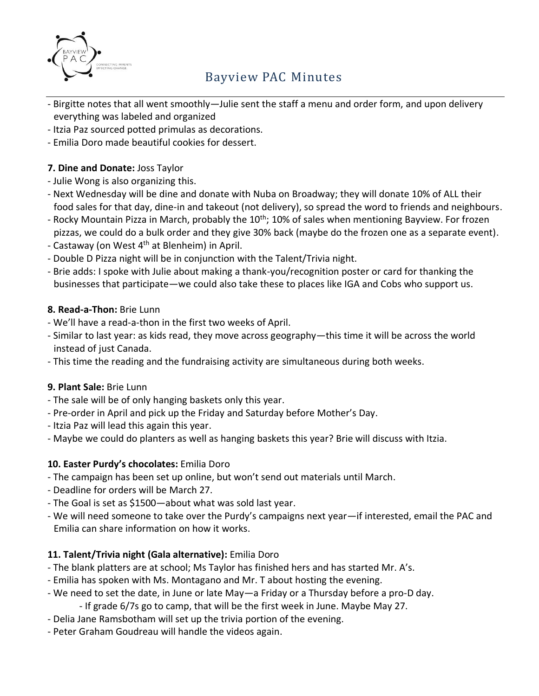

# Bayview PAC Minutes

- Birgitte notes that all went smoothly—Julie sent the staff a menu and order form, and upon delivery everything was labeled and organized
- Itzia Paz sourced potted primulas as decorations.
- Emilia Doro made beautiful cookies for dessert.

### **7. Dine and Donate:** Joss Taylor

- Julie Wong is also organizing this.
- Next Wednesday will be dine and donate with Nuba on Broadway; they will donate 10% of ALL their food sales for that day, dine-in and takeout (not delivery), so spread the word to friends and neighbours.
- Rocky Mountain Pizza in March, probably the 10<sup>th</sup>; 10% of sales when mentioning Bayview. For frozen pizzas, we could do a bulk order and they give 30% back (maybe do the frozen one as a separate event).
- Castaway (on West 4<sup>th</sup> at Blenheim) in April.
- Double D Pizza night will be in conjunction with the Talent/Trivia night.
- Brie adds: I spoke with Julie about making a thank-you/recognition poster or card for thanking the businesses that participate—we could also take these to places like IGA and Cobs who support us.

## **8. Read-a-Thon:** Brie Lunn

- We'll have a read-a-thon in the first two weeks of April.
- Similar to last year: as kids read, they move across geography—this time it will be across the world instead of just Canada.
- This time the reading and the fundraising activity are simultaneous during both weeks.

### **9. Plant Sale:** Brie Lunn

- The sale will be of only hanging baskets only this year.
- Pre-order in April and pick up the Friday and Saturday before Mother's Day.
- Itzia Paz will lead this again this year.
- Maybe we could do planters as well as hanging baskets this year? Brie will discuss with Itzia.

### **10. Easter Purdy's chocolates:** Emilia Doro

- The campaign has been set up online, but won't send out materials until March.
- Deadline for orders will be March 27.
- The Goal is set as \$1500—about what was sold last year.
- We will need someone to take over the Purdy's campaigns next year—if interested, email the PAC and Emilia can share information on how it works.

## **11. Talent/Trivia night (Gala alternative):** Emilia Doro

- The blank platters are at school; Ms Taylor has finished hers and has started Mr. A's.
- Emilia has spoken with Ms. Montagano and Mr. T about hosting the evening.
- We need to set the date, in June or late May—a Friday or a Thursday before a pro-D day.
	- If grade 6/7s go to camp, that will be the first week in June. Maybe May 27.
- Delia Jane Ramsbotham will set up the trivia portion of the evening.
- Peter Graham Goudreau will handle the videos again.